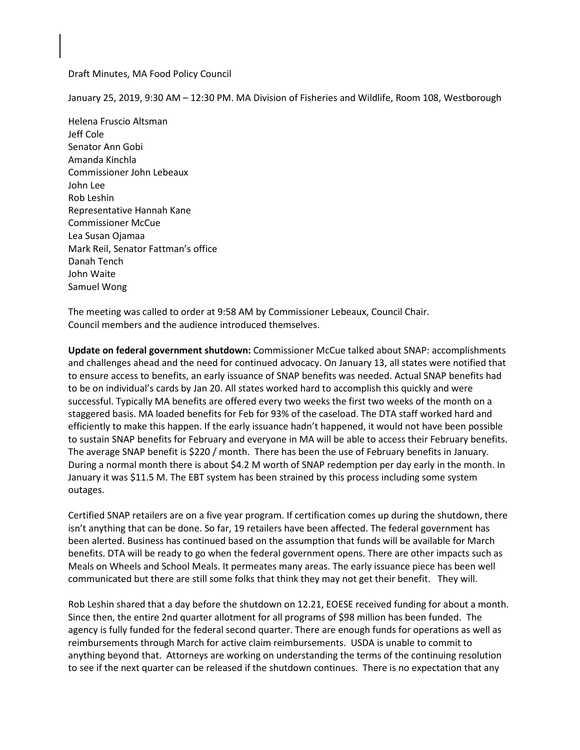#### Draft Minutes, MA Food Policy Council

January 25, 2019, 9:30 AM – 12:30 PM. MA Division of Fisheries and Wildlife, Room 108, Westborough

Helena Fruscio Altsman Jeff Cole Senator Ann Gobi Amanda Kinchla Commissioner John Lebeaux John Lee Rob Leshin Representative Hannah Kane Commissioner McCue Lea Susan Ojamaa Mark Reil, Senator Fattman's office Danah Tench John Waite Samuel Wong

The meeting was called to order at 9:58 AM by Commissioner Lebeaux, Council Chair. Council members and the audience introduced themselves.

**Update on federal government shutdown:** Commissioner McCue talked about SNAP: accomplishments and challenges ahead and the need for continued advocacy. On January 13, all states were notified that to ensure access to benefits, an early issuance of SNAP benefits was needed. Actual SNAP benefits had to be on individual's cards by Jan 20. All states worked hard to accomplish this quickly and were successful. Typically MA benefits are offered every two weeks the first two weeks of the month on a staggered basis. MA loaded benefits for Feb for 93% of the caseload. The DTA staff worked hard and efficiently to make this happen. If the early issuance hadn't happened, it would not have been possible to sustain SNAP benefits for February and everyone in MA will be able to access their February benefits. The average SNAP benefit is \$220 / month. There has been the use of February benefits in January. During a normal month there is about \$4.2 M worth of SNAP redemption per day early in the month. In January it was \$11.5 M. The EBT system has been strained by this process including some system outages.

Certified SNAP retailers are on a five year program. If certification comes up during the shutdown, there isn't anything that can be done. So far, 19 retailers have been affected. The federal government has been alerted. Business has continued based on the assumption that funds will be available for March benefits. DTA will be ready to go when the federal government opens. There are other impacts such as Meals on Wheels and School Meals. It permeates many areas. The early issuance piece has been well communicated but there are still some folks that think they may not get their benefit. They will.

Rob Leshin shared that a day before the shutdown on 12.21, EOESE received funding for about a month. Since then, the entire 2nd quarter allotment for all programs of \$98 million has been funded. The agency is fully funded for the federal second quarter. There are enough funds for operations as well as reimbursements through March for active claim reimbursements. USDA is unable to commit to anything beyond that. Attorneys are working on understanding the terms of the continuing resolution to see if the next quarter can be released if the shutdown continues. There is no expectation that any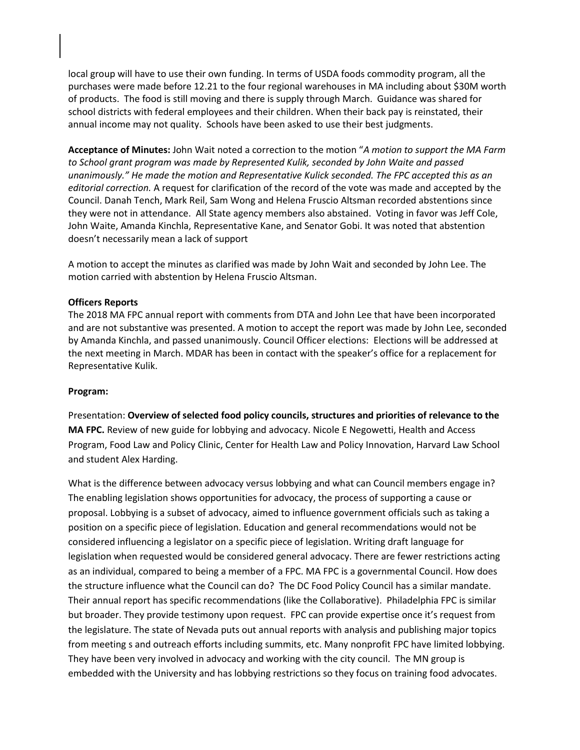local group will have to use their own funding. In terms of USDA foods commodity program, all the purchases were made before 12.21 to the four regional warehouses in MA including about \$30M worth of products. The food is still moving and there is supply through March. Guidance was shared for school districts with federal employees and their children. When their back pay is reinstated, their annual income may not quality. Schools have been asked to use their best judgments.

**Acceptance of Minutes:** John Wait noted a correction to the motion "*A motion to support the MA Farm to School grant program was made by Represented Kulik, seconded by John Waite and passed unanimously." He made the motion and Representative Kulick seconded. The FPC accepted this as an editorial correction.* A request for clarification of the record of the vote was made and accepted by the Council. Danah Tench, Mark Reil, Sam Wong and Helena Fruscio Altsman recorded abstentions since they were not in attendance. All State agency members also abstained. Voting in favor was Jeff Cole, John Waite, Amanda Kinchla, Representative Kane, and Senator Gobi. It was noted that abstention doesn't necessarily mean a lack of support

A motion to accept the minutes as clarified was made by John Wait and seconded by John Lee. The motion carried with abstention by Helena Fruscio Altsman.

#### **Officers Reports**

The 2018 MA FPC annual report with comments from DTA and John Lee that have been incorporated and are not substantive was presented. A motion to accept the report was made by John Lee, seconded by Amanda Kinchla, and passed unanimously. Council Officer elections: Elections will be addressed at the next meeting in March. MDAR has been in contact with the speaker's office for a replacement for Representative Kulik.

#### **Program:**

Presentation: **Overview of selected food policy councils, structures and priorities of relevance to the MA FPC.** Review of new guide for lobbying and advocacy. Nicole E Negowetti, Health and Access Program, Food Law and Policy Clinic, Center for Health Law and Policy Innovation, Harvard Law School and student Alex Harding.

What is the difference between advocacy versus lobbying and what can Council members engage in? The enabling legislation shows opportunities for advocacy, the process of supporting a cause or proposal. Lobbying is a subset of advocacy, aimed to influence government officials such as taking a position on a specific piece of legislation. Education and general recommendations would not be considered influencing a legislator on a specific piece of legislation. Writing draft language for legislation when requested would be considered general advocacy. There are fewer restrictions acting as an individual, compared to being a member of a FPC. MA FPC is a governmental Council. How does the structure influence what the Council can do? The DC Food Policy Council has a similar mandate. Their annual report has specific recommendations (like the Collaborative). Philadelphia FPC is similar but broader. They provide testimony upon request. FPC can provide expertise once it's request from the legislature. The state of Nevada puts out annual reports with analysis and publishing major topics from meeting s and outreach efforts including summits, etc. Many nonprofit FPC have limited lobbying. They have been very involved in advocacy and working with the city council. The MN group is embedded with the University and has lobbying restrictions so they focus on training food advocates.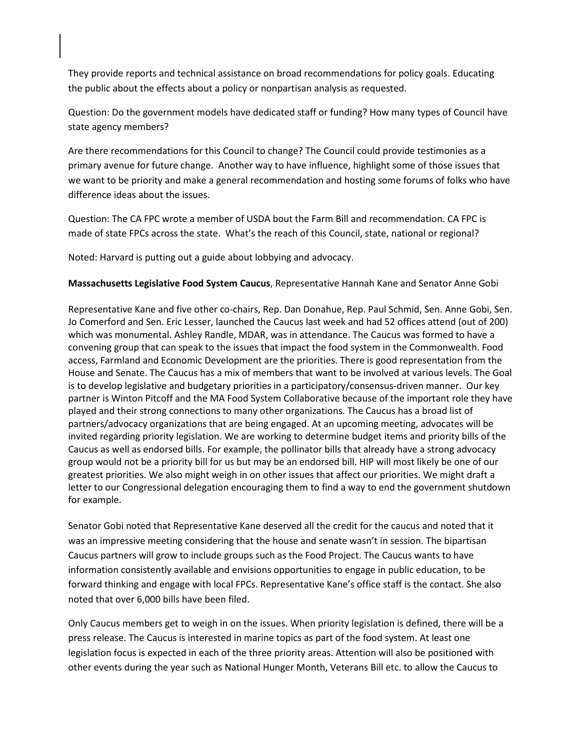They provide reports and technical assistance on broad recommendations for policy goals. Educating the public about the effects about a policy or nonpartisan analysis as requested.

Question: Do the government models have dedicated staff or funding? How many types of Council have state agency members?

Are there recommendations for this Council to change? The Council could provide testimonies as a primary avenue for future change. Another way to have influence, highlight some of those issues that we want to be priority and make a general recommendation and hosting some forums of folks who have difference ideas about the issues.

Question: The CA FPC wrote a member of USDA bout the Farm Bill and recommendation. CA FPC is made of state FPCs across the state. What's the reach of this Council, state, national or regional?

Noted: Harvard is putting out a guide about lobbying and advocacy.

### **Massachusetts Legislative Food System Caucus**, Representative Hannah Kane and Senator Anne Gobi

Representative Kane and five other co-chairs, Rep. Dan Donahue, Rep. Paul Schmid, Sen. Anne Gobi, Sen. Jo Comerford and Sen. Eric Lesser, launched the Caucus last week and had 52 offices attend (out of 200) which was monumental. Ashley Randle, MDAR, was in attendance. The Caucus was formed to have a convening group that can speak to the issues that impact the food system in the Commonwealth. Food access, Farmland and Economic Development are the priorities. There is good representation from the House and Senate. The Caucus has a mix of members that want to be involved at various levels. The Goal is to develop legislative and budgetary priorities in a participatory/consensus-driven manner. Our key partner is Winton Pitcoff and the MA Food System Collaborative because of the important role they have played and their strong connections to many other organizations. The Caucus has a broad list of partners/advocacy organizations that are being engaged. At an upcoming meeting, advocates will be invited regarding priority legislation. We are working to determine budget items and priority bills of the Caucus as well as endorsed bills. For example, the pollinator bills that already have a strong advocacy group would not be a priority bill for us but may be an endorsed bill. HIP will most likely be one of our greatest priorities. We also might weigh in on other issues that affect our priorities. We might draft a letter to our Congressional delegation encouraging them to find a way to end the government shutdown for example.

Senator Gobi noted that Representative Kane deserved all the credit for the caucus and noted that it was an impressive meeting considering that the house and senate wasn't in session. The bipartisan Caucus partners will grow to include groups such as the Food Project. The Caucus wants to have information consistently available and envisions opportunities to engage in public education, to be forward thinking and engage with local FPCs. Representative Kane's office staff is the contact. She also noted that over 6,000 bills have been filed.

Only Caucus members get to weigh in on the issues. When priority legislation is defined, there will be a press release. The Caucus is interested in marine topics as part of the food system. At least one legislation focus is expected in each of the three priority areas. Attention will also be positioned with other events during the year such as National Hunger Month, Veterans Bill etc. to allow the Caucus to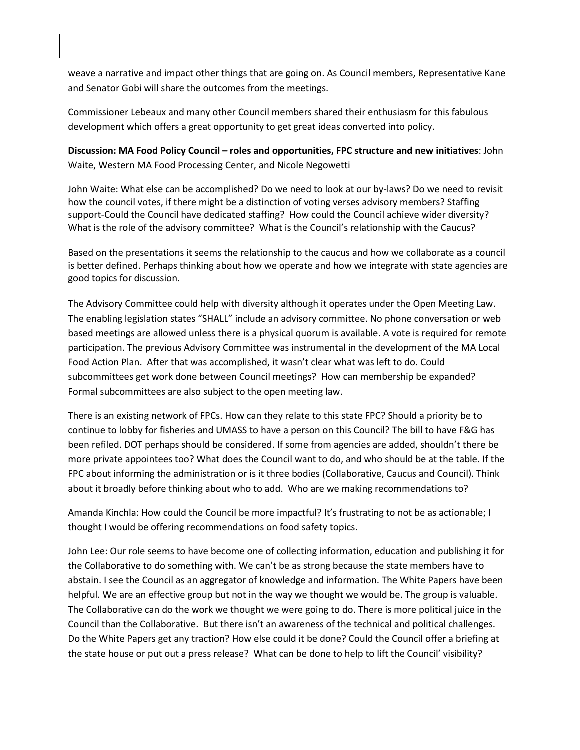weave a narrative and impact other things that are going on. As Council members, Representative Kane and Senator Gobi will share the outcomes from the meetings.

Commissioner Lebeaux and many other Council members shared their enthusiasm for this fabulous development which offers a great opportunity to get great ideas converted into policy.

**Discussion: MA Food Policy Council – roles and opportunities, FPC structure and new initiatives**: John Waite, Western MA Food Processing Center, and Nicole Negowetti

John Waite: What else can be accomplished? Do we need to look at our by-laws? Do we need to revisit how the council votes, if there might be a distinction of voting verses advisory members? Staffing support-Could the Council have dedicated staffing? How could the Council achieve wider diversity? What is the role of the advisory committee? What is the Council's relationship with the Caucus?

Based on the presentations it seems the relationship to the caucus and how we collaborate as a council is better defined. Perhaps thinking about how we operate and how we integrate with state agencies are good topics for discussion.

The Advisory Committee could help with diversity although it operates under the Open Meeting Law. The enabling legislation states "SHALL" include an advisory committee. No phone conversation or web based meetings are allowed unless there is a physical quorum is available. A vote is required for remote participation. The previous Advisory Committee was instrumental in the development of the MA Local Food Action Plan. After that was accomplished, it wasn't clear what was left to do. Could subcommittees get work done between Council meetings? How can membership be expanded? Formal subcommittees are also subject to the open meeting law.

There is an existing network of FPCs. How can they relate to this state FPC? Should a priority be to continue to lobby for fisheries and UMASS to have a person on this Council? The bill to have F&G has been refiled. DOT perhaps should be considered. If some from agencies are added, shouldn't there be more private appointees too? What does the Council want to do, and who should be at the table. If the FPC about informing the administration or is it three bodies (Collaborative, Caucus and Council). Think about it broadly before thinking about who to add. Who are we making recommendations to?

Amanda Kinchla: How could the Council be more impactful? It's frustrating to not be as actionable; I thought I would be offering recommendations on food safety topics.

John Lee: Our role seems to have become one of collecting information, education and publishing it for the Collaborative to do something with. We can't be as strong because the state members have to abstain. I see the Council as an aggregator of knowledge and information. The White Papers have been helpful. We are an effective group but not in the way we thought we would be. The group is valuable. The Collaborative can do the work we thought we were going to do. There is more political juice in the Council than the Collaborative. But there isn't an awareness of the technical and political challenges. Do the White Papers get any traction? How else could it be done? Could the Council offer a briefing at the state house or put out a press release? What can be done to help to lift the Council' visibility?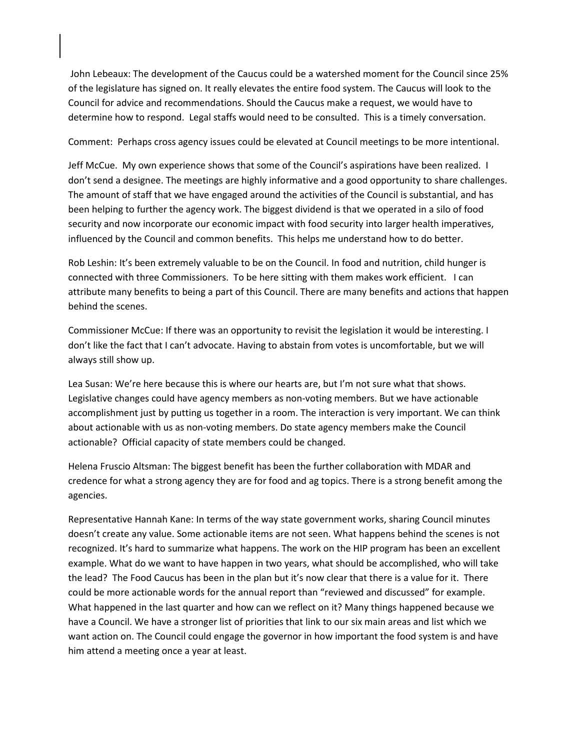John Lebeaux: The development of the Caucus could be a watershed moment for the Council since 25% of the legislature has signed on. It really elevates the entire food system. The Caucus will look to the Council for advice and recommendations. Should the Caucus make a request, we would have to determine how to respond. Legal staffs would need to be consulted. This is a timely conversation.

Comment: Perhaps cross agency issues could be elevated at Council meetings to be more intentional.

Jeff McCue. My own experience shows that some of the Council's aspirations have been realized. I don't send a designee. The meetings are highly informative and a good opportunity to share challenges. The amount of staff that we have engaged around the activities of the Council is substantial, and has been helping to further the agency work. The biggest dividend is that we operated in a silo of food security and now incorporate our economic impact with food security into larger health imperatives, influenced by the Council and common benefits. This helps me understand how to do better.

Rob Leshin: It's been extremely valuable to be on the Council. In food and nutrition, child hunger is connected with three Commissioners. To be here sitting with them makes work efficient. I can attribute many benefits to being a part of this Council. There are many benefits and actions that happen behind the scenes.

Commissioner McCue: If there was an opportunity to revisit the legislation it would be interesting. I don't like the fact that I can't advocate. Having to abstain from votes is uncomfortable, but we will always still show up.

Lea Susan: We're here because this is where our hearts are, but I'm not sure what that shows. Legislative changes could have agency members as non-voting members. But we have actionable accomplishment just by putting us together in a room. The interaction is very important. We can think about actionable with us as non-voting members. Do state agency members make the Council actionable? Official capacity of state members could be changed.

Helena Fruscio Altsman: The biggest benefit has been the further collaboration with MDAR and credence for what a strong agency they are for food and ag topics. There is a strong benefit among the agencies.

Representative Hannah Kane: In terms of the way state government works, sharing Council minutes doesn't create any value. Some actionable items are not seen. What happens behind the scenes is not recognized. It's hard to summarize what happens. The work on the HIP program has been an excellent example. What do we want to have happen in two years, what should be accomplished, who will take the lead? The Food Caucus has been in the plan but it's now clear that there is a value for it. There could be more actionable words for the annual report than "reviewed and discussed" for example. What happened in the last quarter and how can we reflect on it? Many things happened because we have a Council. We have a stronger list of priorities that link to our six main areas and list which we want action on. The Council could engage the governor in how important the food system is and have him attend a meeting once a year at least.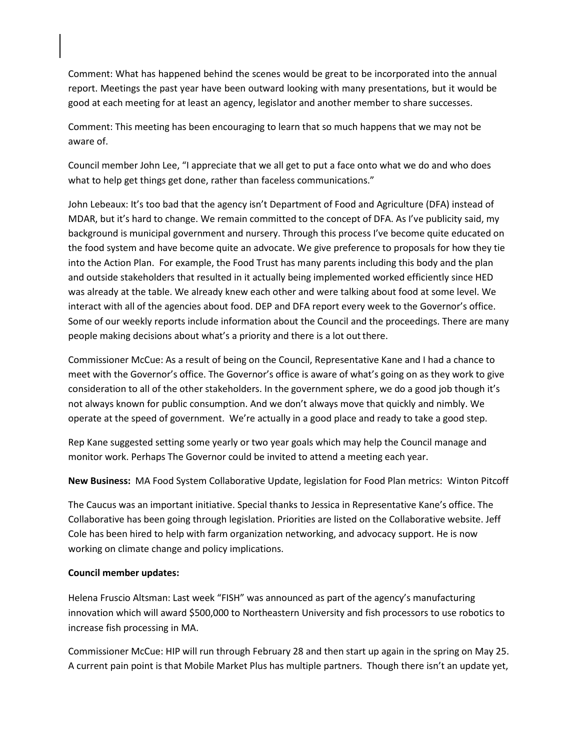Comment: What has happened behind the scenes would be great to be incorporated into the annual report. Meetings the past year have been outward looking with many presentations, but it would be good at each meeting for at least an agency, legislator and another member to share successes.

Comment: This meeting has been encouraging to learn that so much happens that we may not be aware of.

Council member John Lee, "I appreciate that we all get to put a face onto what we do and who does what to help get things get done, rather than faceless communications."

John Lebeaux: It's too bad that the agency isn't Department of Food and Agriculture (DFA) instead of MDAR, but it's hard to change. We remain committed to the concept of DFA. As I've publicity said, my background is municipal government and nursery. Through this process I've become quite educated on the food system and have become quite an advocate. We give preference to proposals for how they tie into the Action Plan. For example, the Food Trust has many parents including this body and the plan and outside stakeholders that resulted in it actually being implemented worked efficiently since HED was already at the table. We already knew each other and were talking about food at some level. We interact with all of the agencies about food. DEP and DFA report every week to the Governor's office. Some of our weekly reports include information about the Council and the proceedings. There are many people making decisions about what's a priority and there is a lot out there.

Commissioner McCue: As a result of being on the Council, Representative Kane and I had a chance to meet with the Governor's office. The Governor's office is aware of what's going on as they work to give consideration to all of the other stakeholders. In the government sphere, we do a good job though it's not always known for public consumption. And we don't always move that quickly and nimbly. We operate at the speed of government. We're actually in a good place and ready to take a good step.

Rep Kane suggested setting some yearly or two year goals which may help the Council manage and monitor work. Perhaps The Governor could be invited to attend a meeting each year.

**New Business:** MA Food System Collaborative Update, legislation for Food Plan metrics: Winton Pitcoff

The Caucus was an important initiative. Special thanks to Jessica in Representative Kane's office. The Collaborative has been going through legislation. Priorities are listed on the Collaborative website. Jeff Cole has been hired to help with farm organization networking, and advocacy support. He is now working on climate change and policy implications.

#### **Council member updates:**

Helena Fruscio Altsman: Last week "FISH" was announced as part of the agency's manufacturing innovation which will award \$500,000 to Northeastern University and fish processors to use robotics to increase fish processing in MA.

Commissioner McCue: HIP will run through February 28 and then start up again in the spring on May 25. A current pain point is that Mobile Market Plus has multiple partners. Though there isn't an update yet,